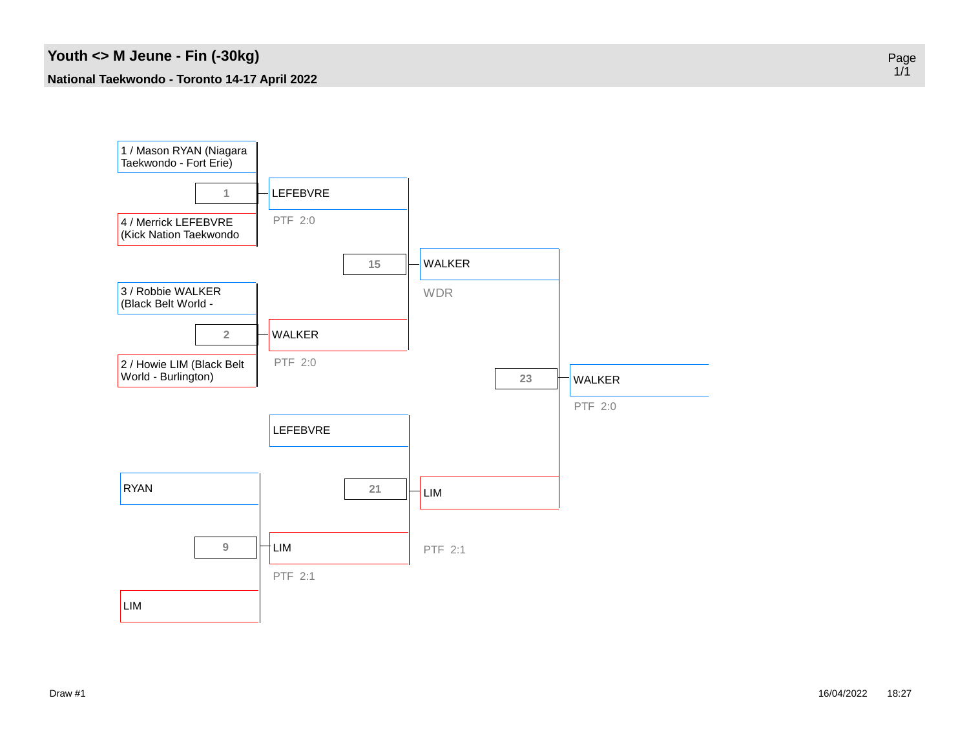

Page 1/1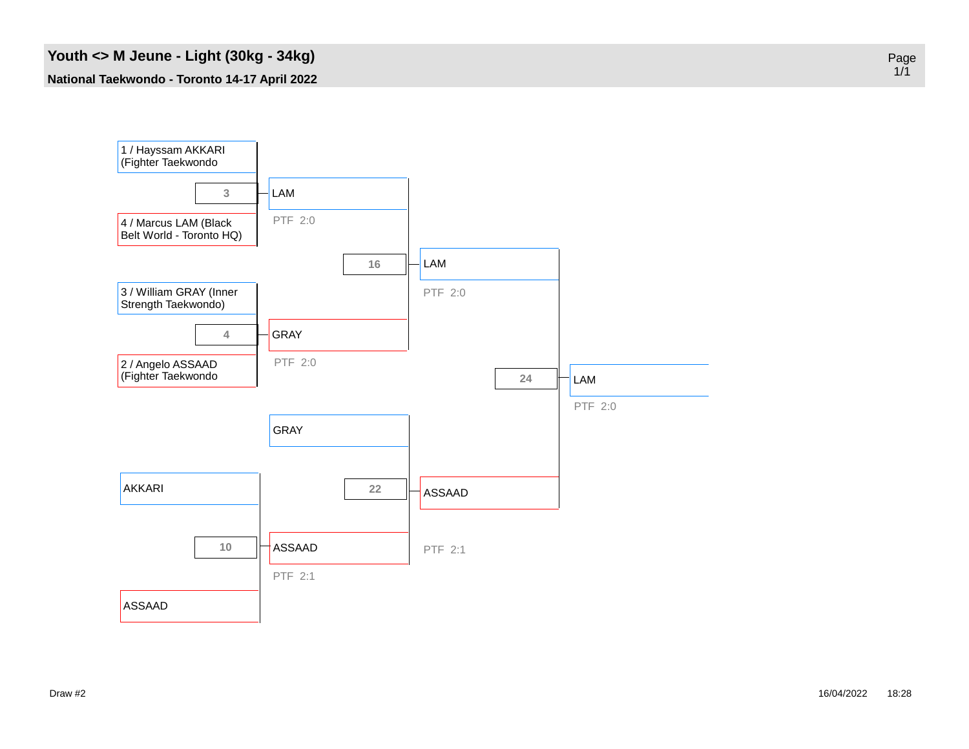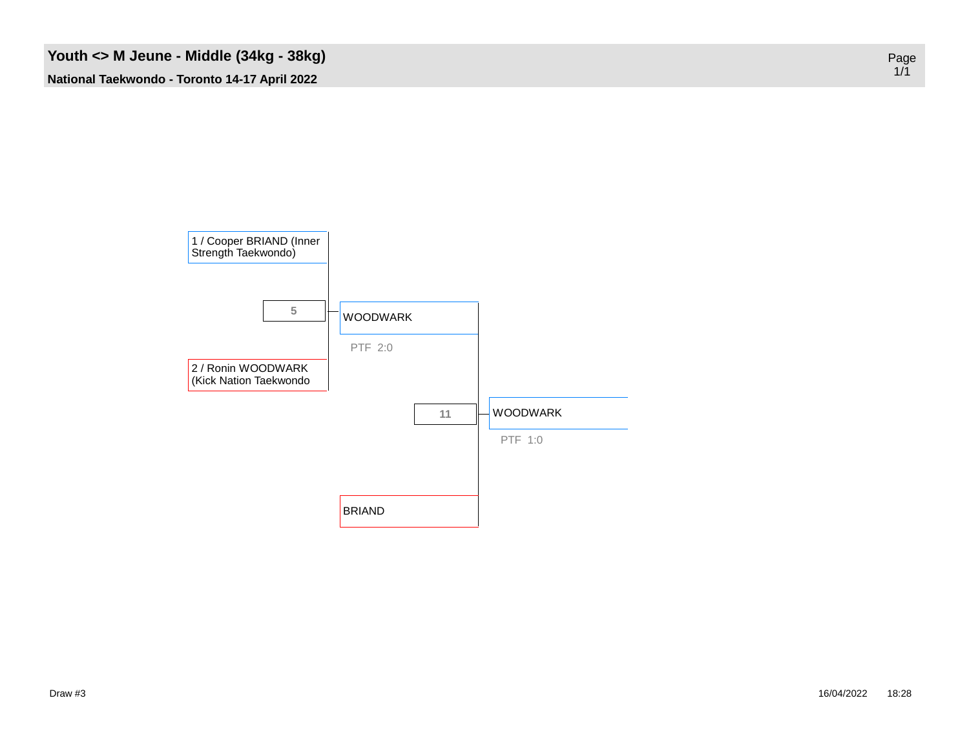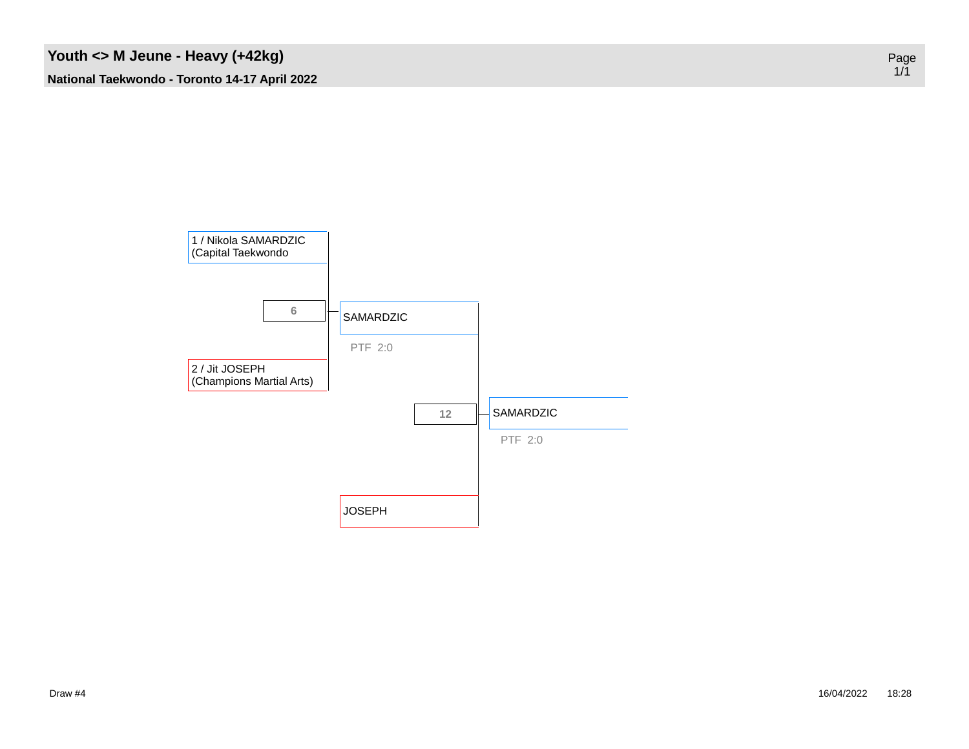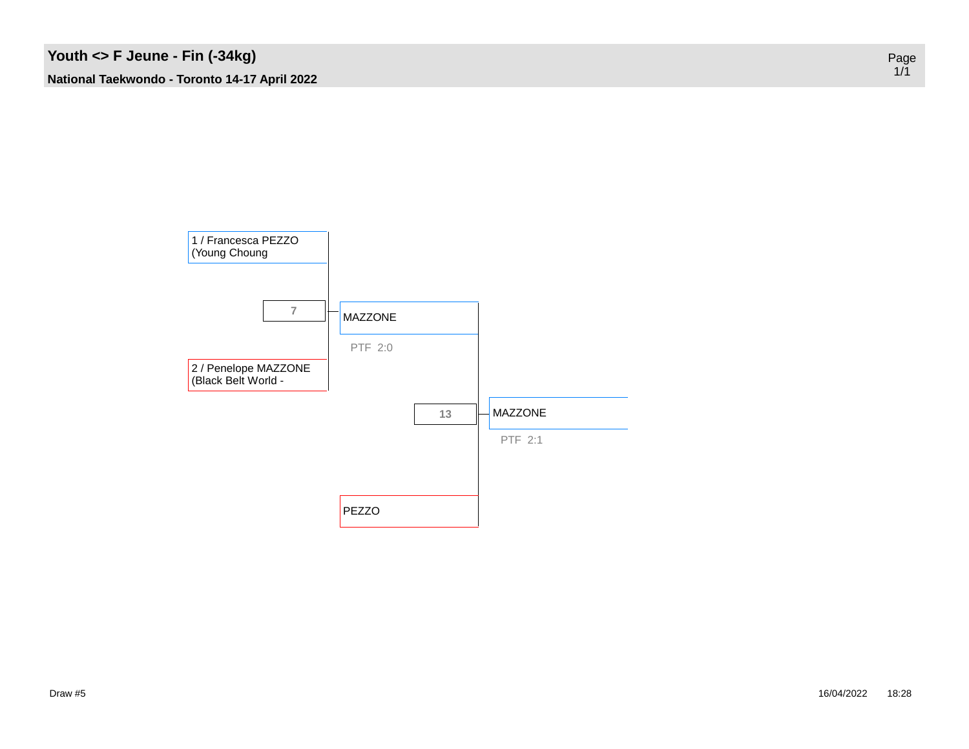

Page 1/1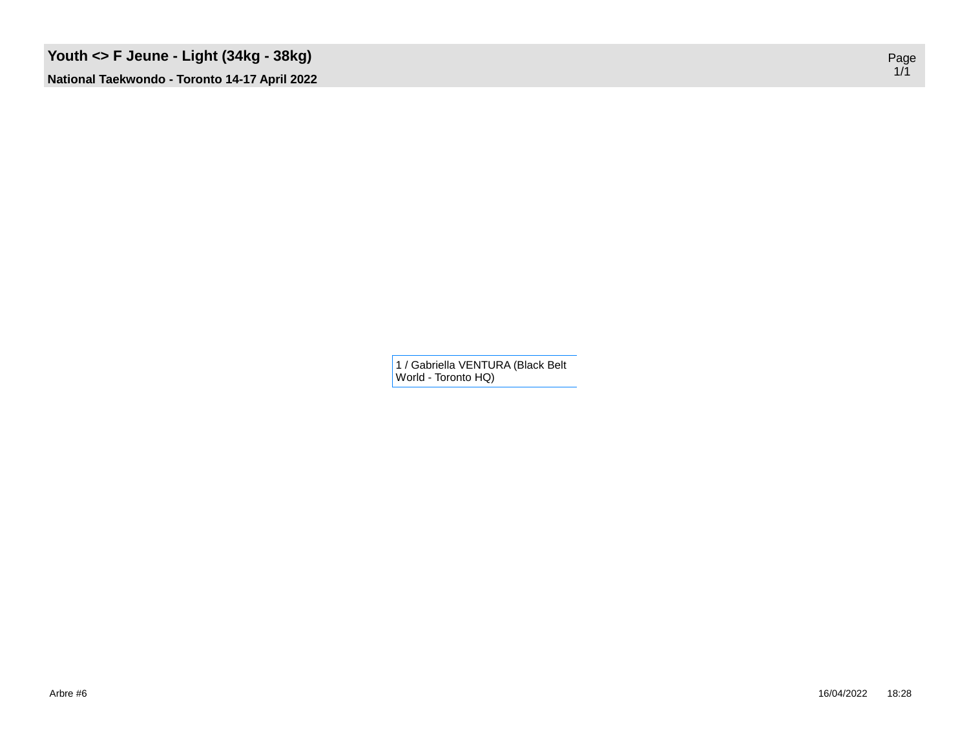1 / Gabriella VENTURA (Black Belt World - Toronto HQ)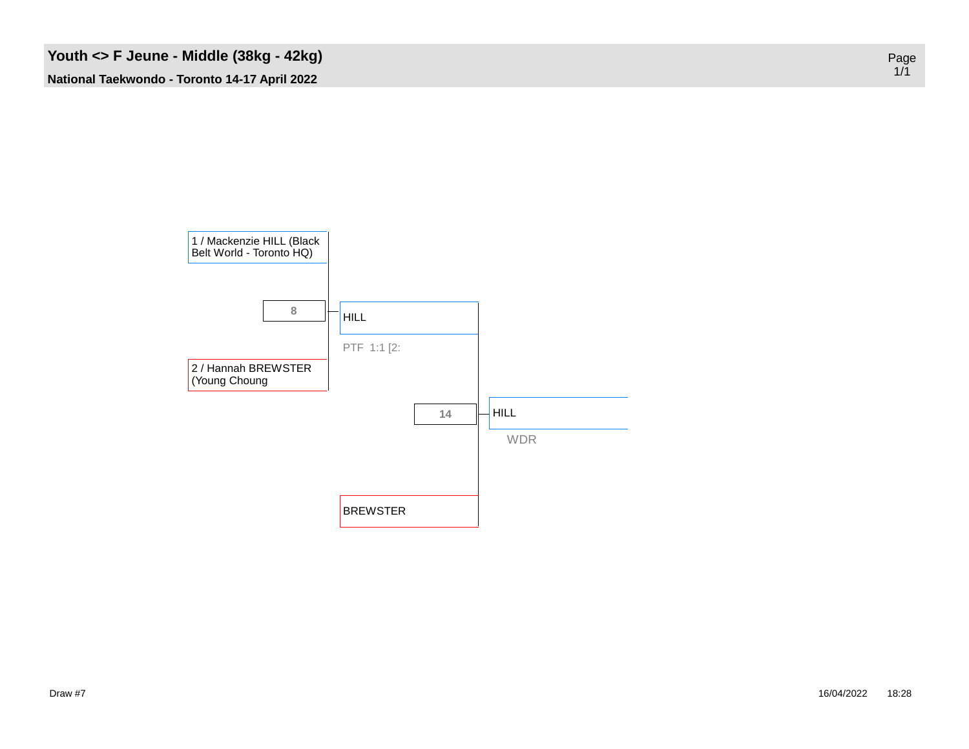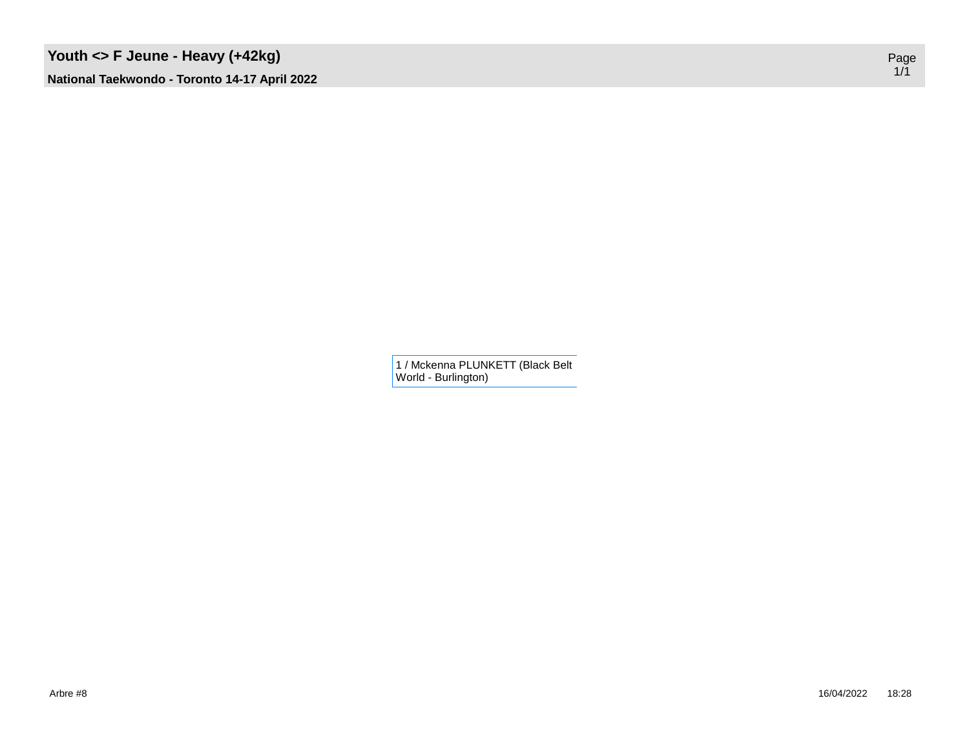1 / Mckenna PLUNKETT (Black Belt World - Burlington)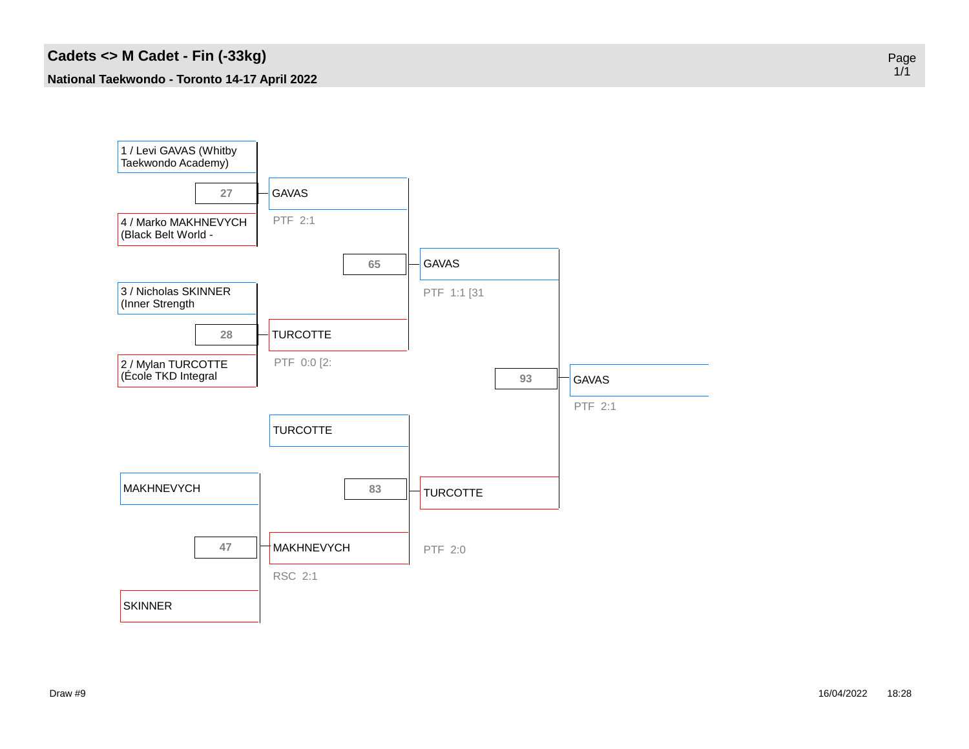

Page 1/1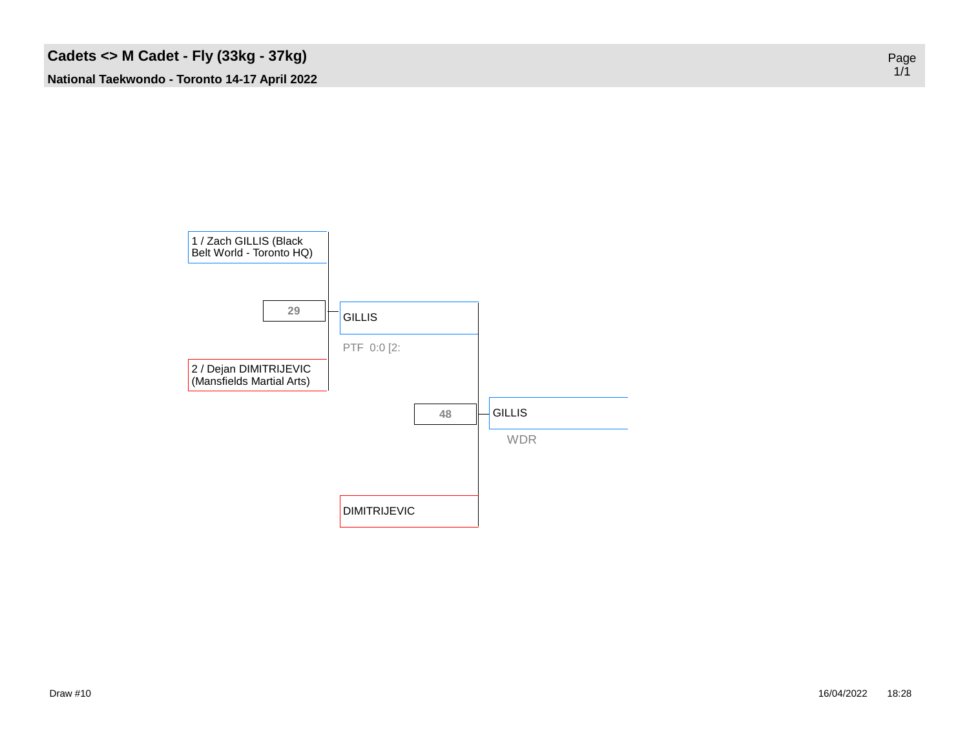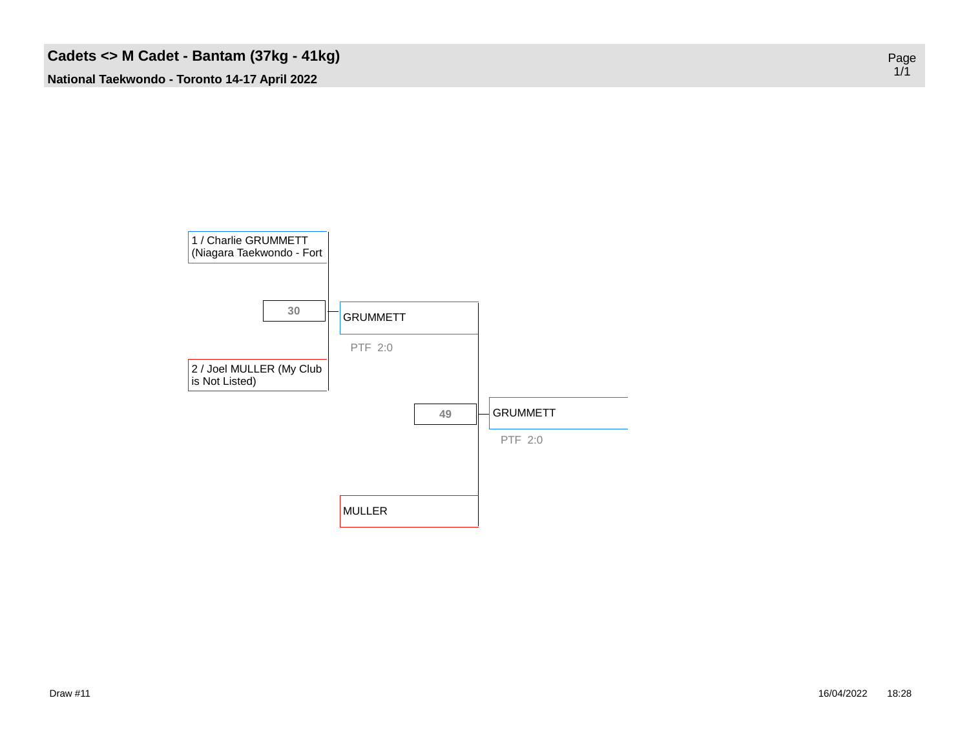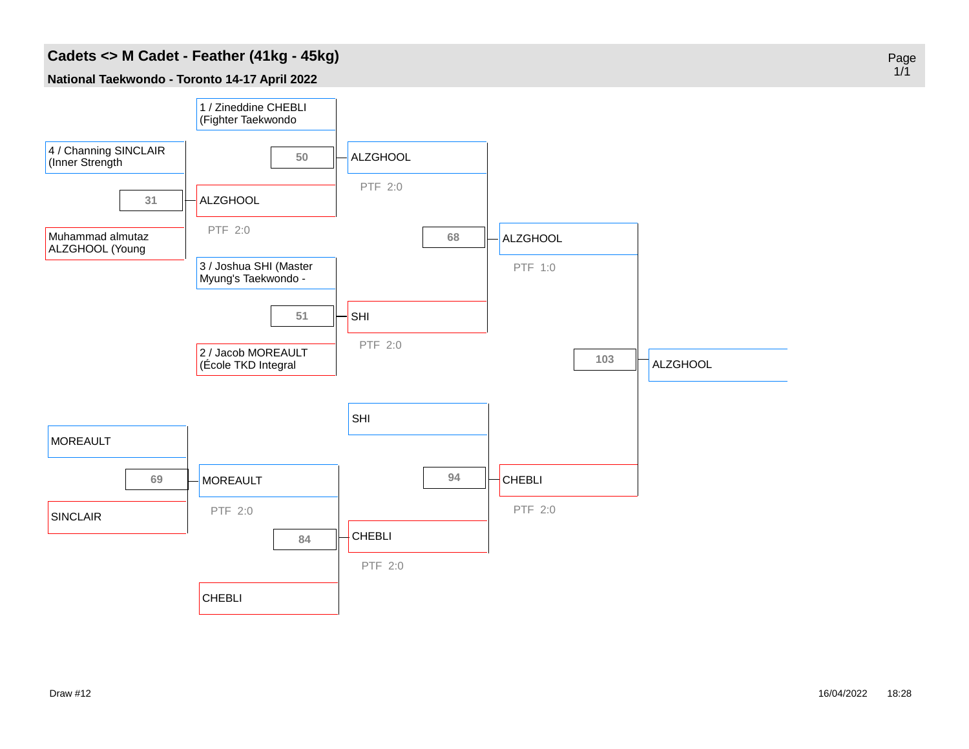### **Cadets <> M Cadet - Feather (41kg - 45kg)**

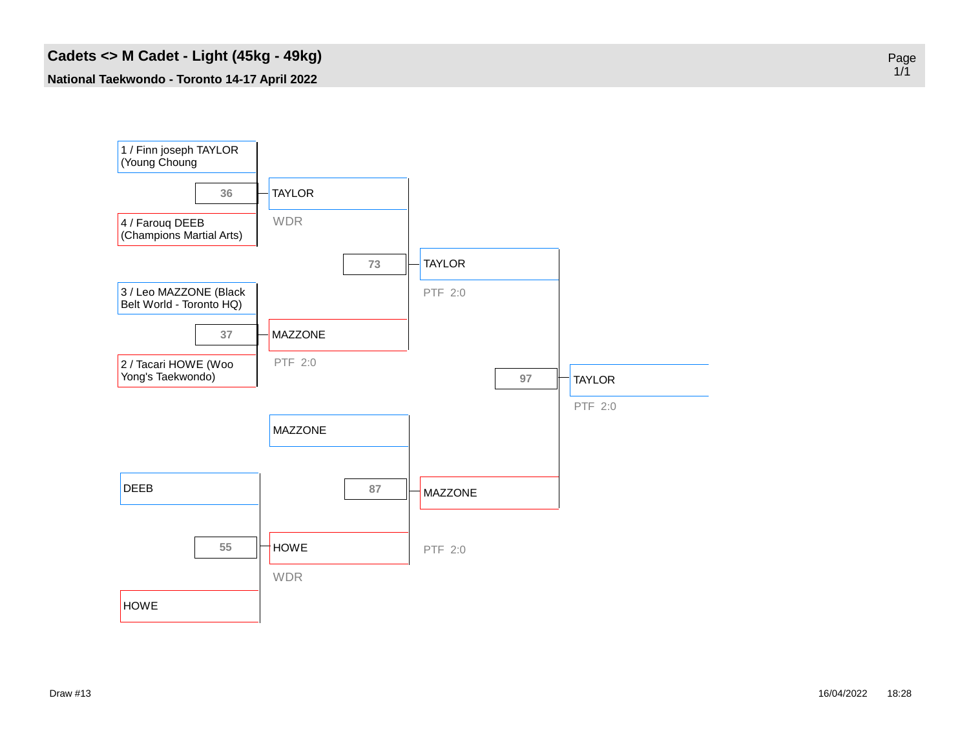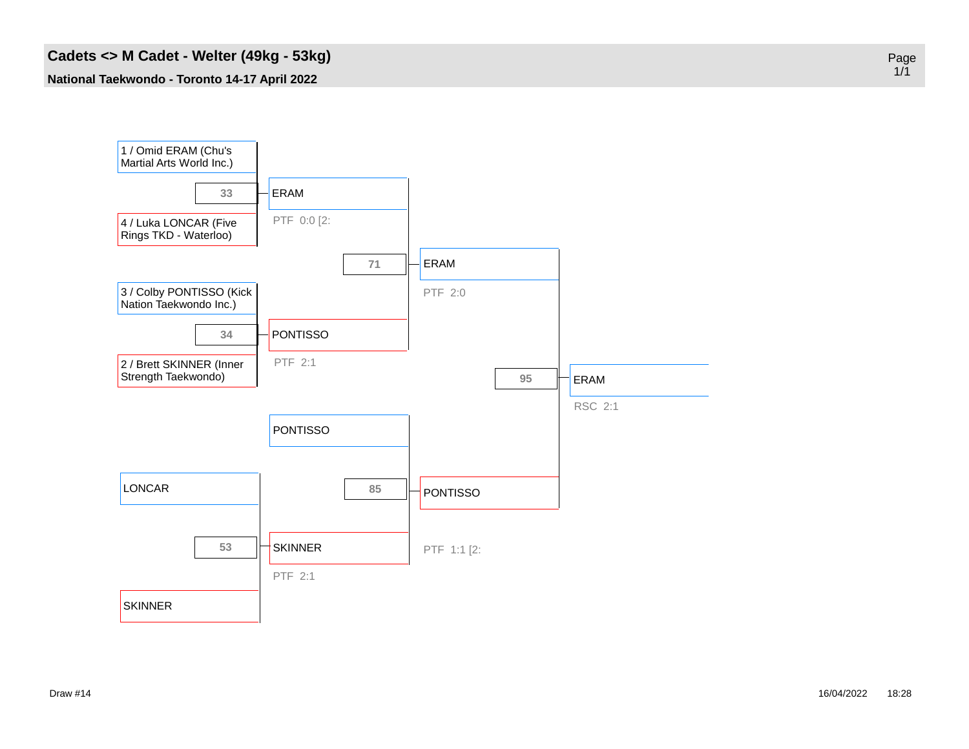#### **Cadets <> M Cadet - Welter (49kg - 53kg)**

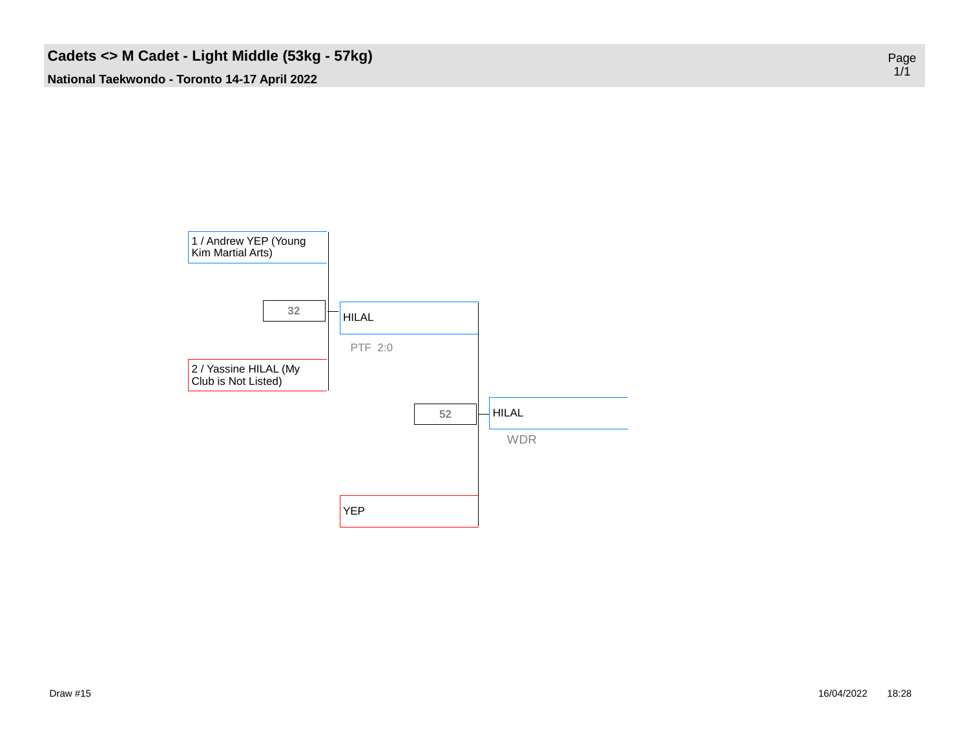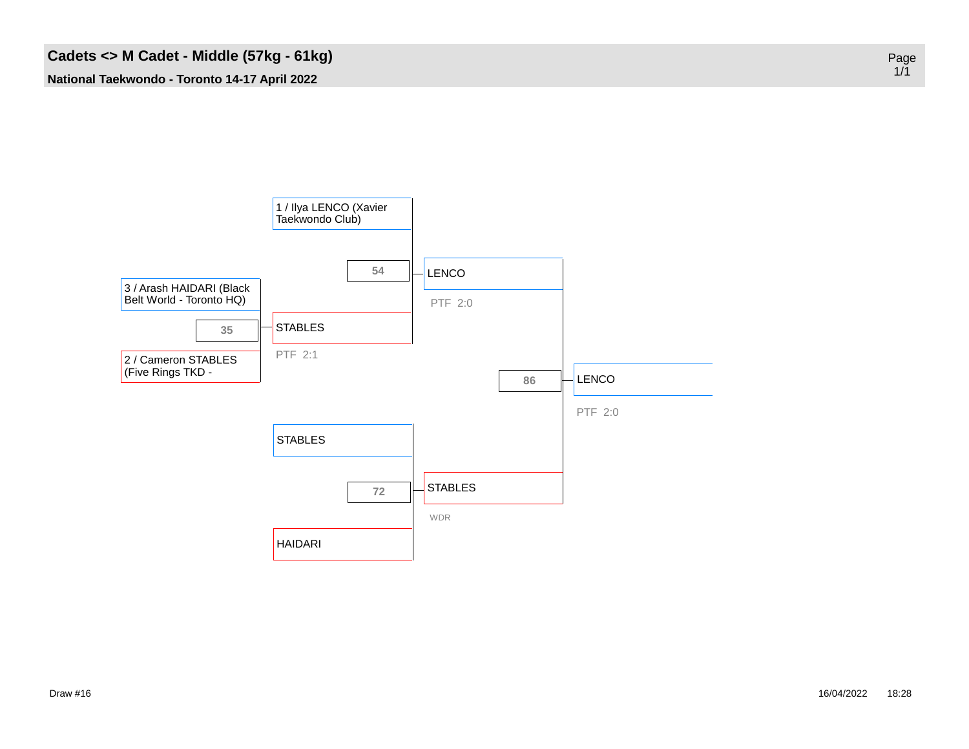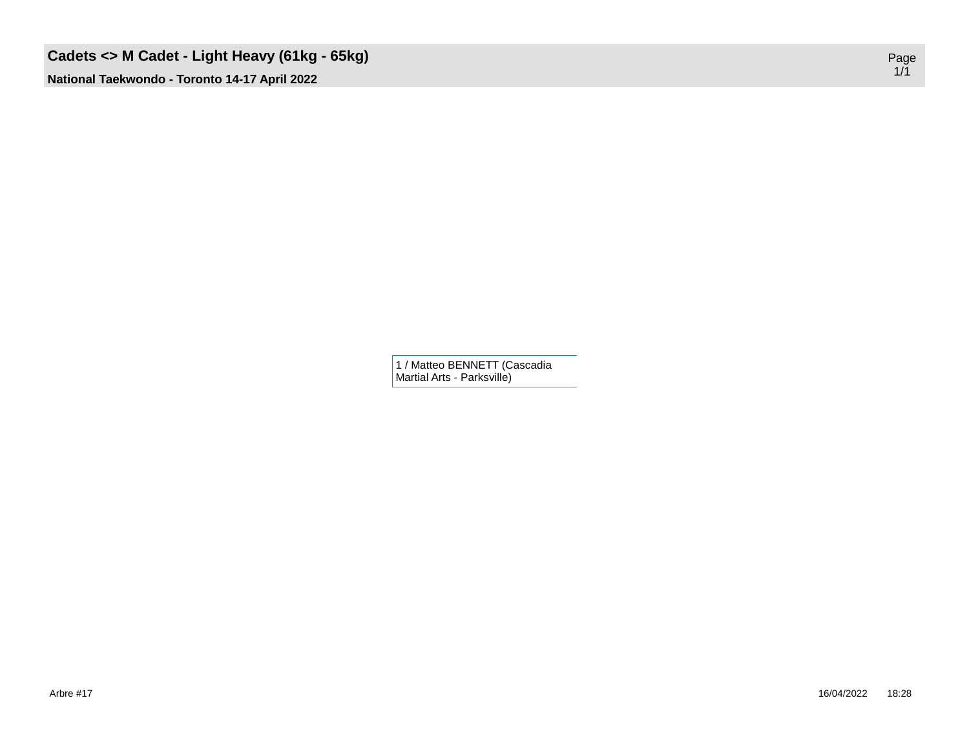## **Cadets <> M Cadet - Light Heavy (61kg - 65kg)**

**National Taekwondo - Toronto 14-17 April 2022**

1 / Matteo BENNETT (Cascadia Martial Arts - Parksville)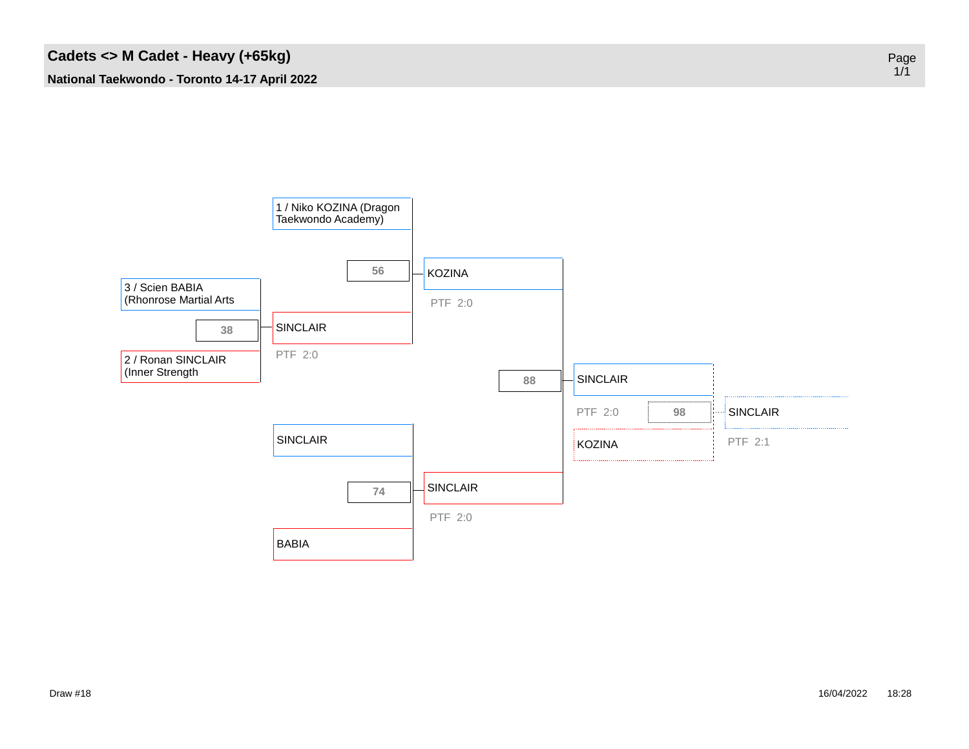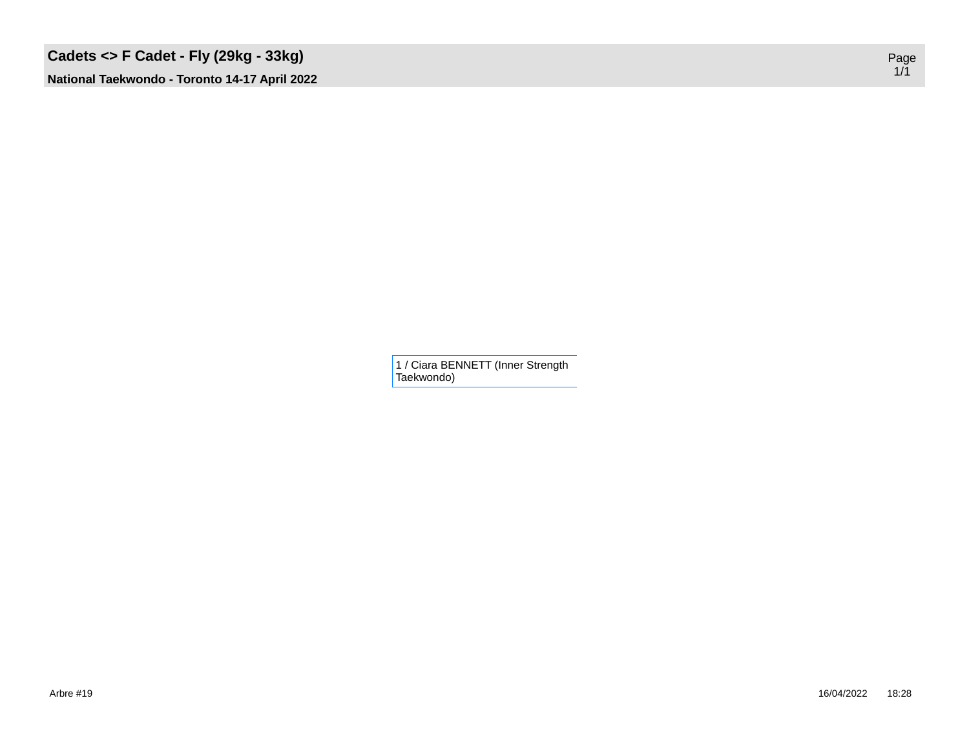## **Cadets <> F Cadet - Fly (29kg - 33kg)**

**National Taekwondo - Toronto 14-17 April 2022**

1 / Ciara BENNETT (Inner Strength Taekwondo)

Page 1/1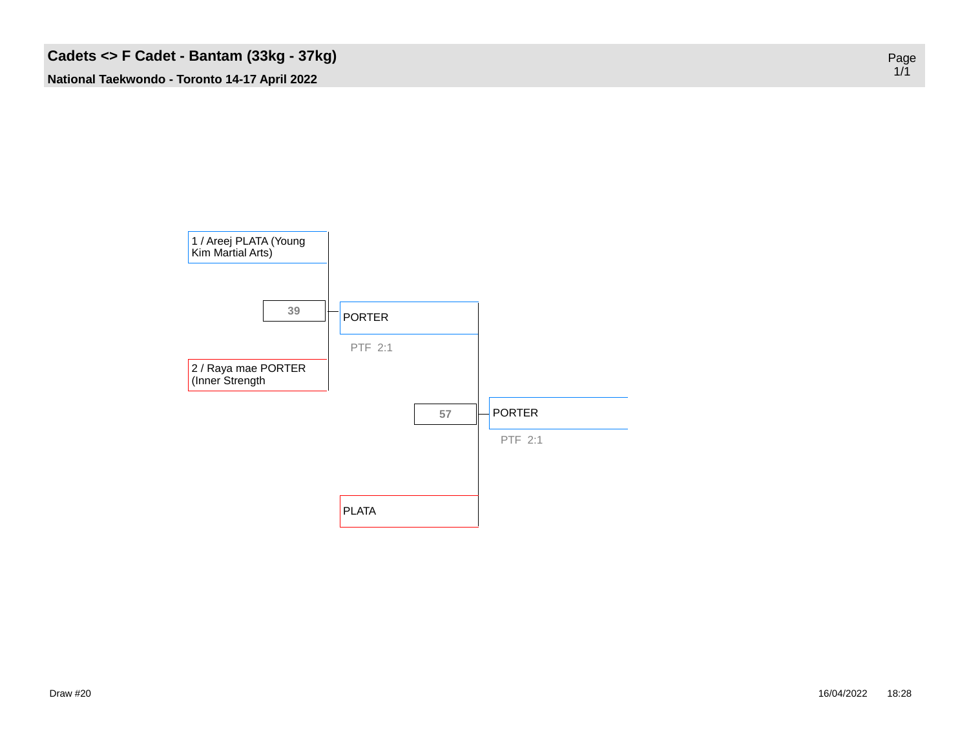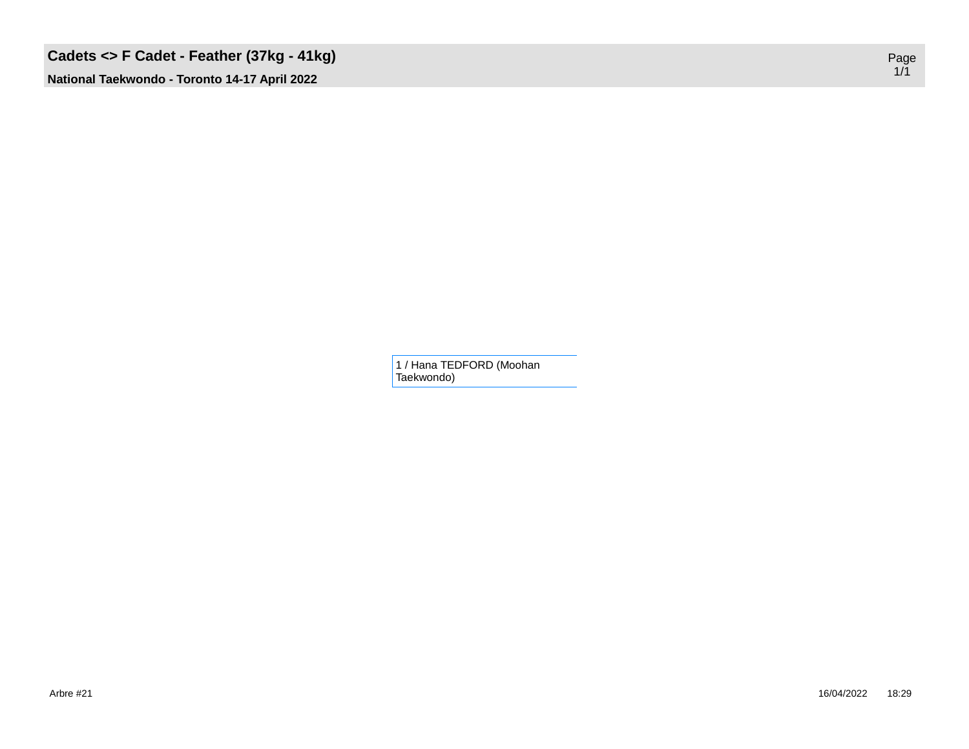# **Cadets <> F Cadet - Feather (37kg - 41kg)**

**National Taekwondo - Toronto 14-17 April 2022**

1 / Hana TEDFORD (Moohan Taekwondo)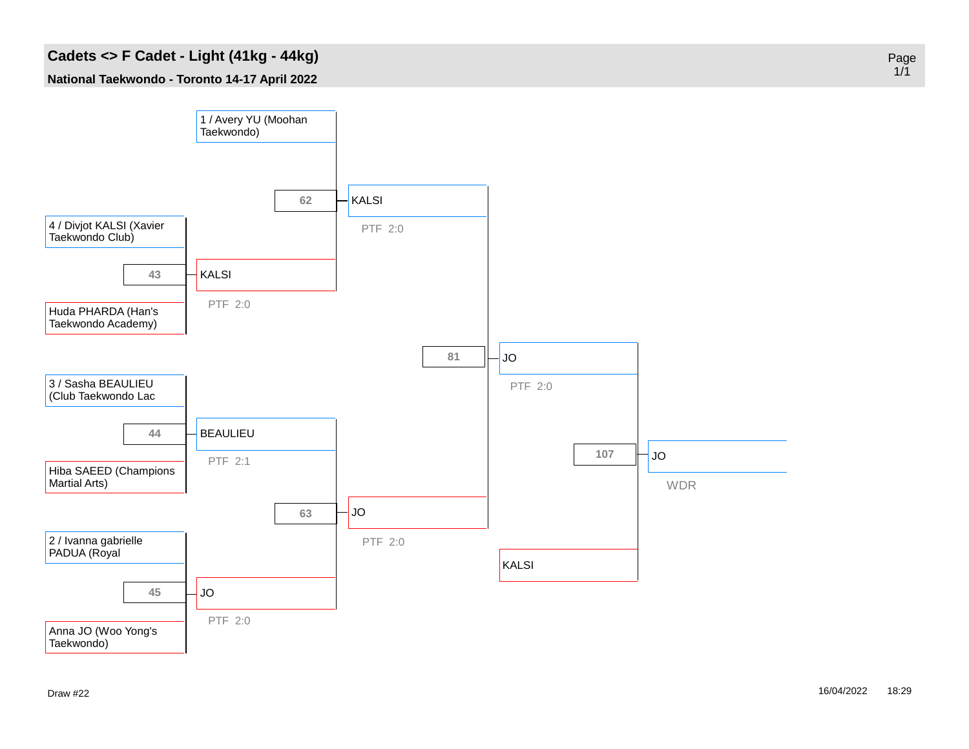### **Cadets <> F Cadet - Light (41kg - 44kg)**

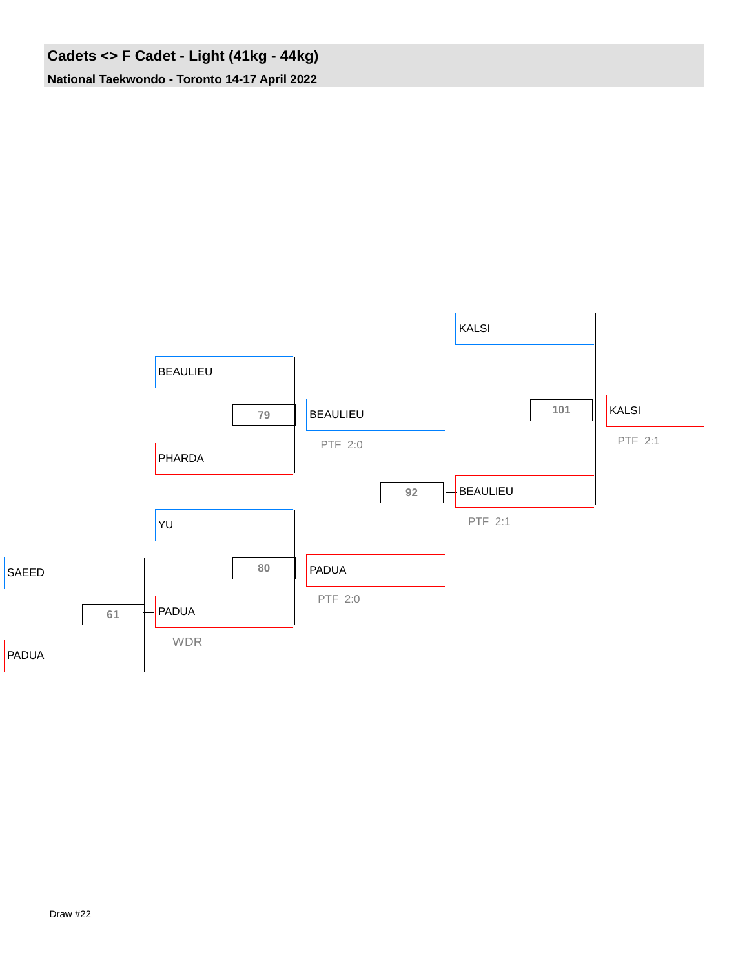## **Cadets <> F Cadet - Light (41kg - 44kg) National Taekwondo - Toronto 14-17 April 2022**

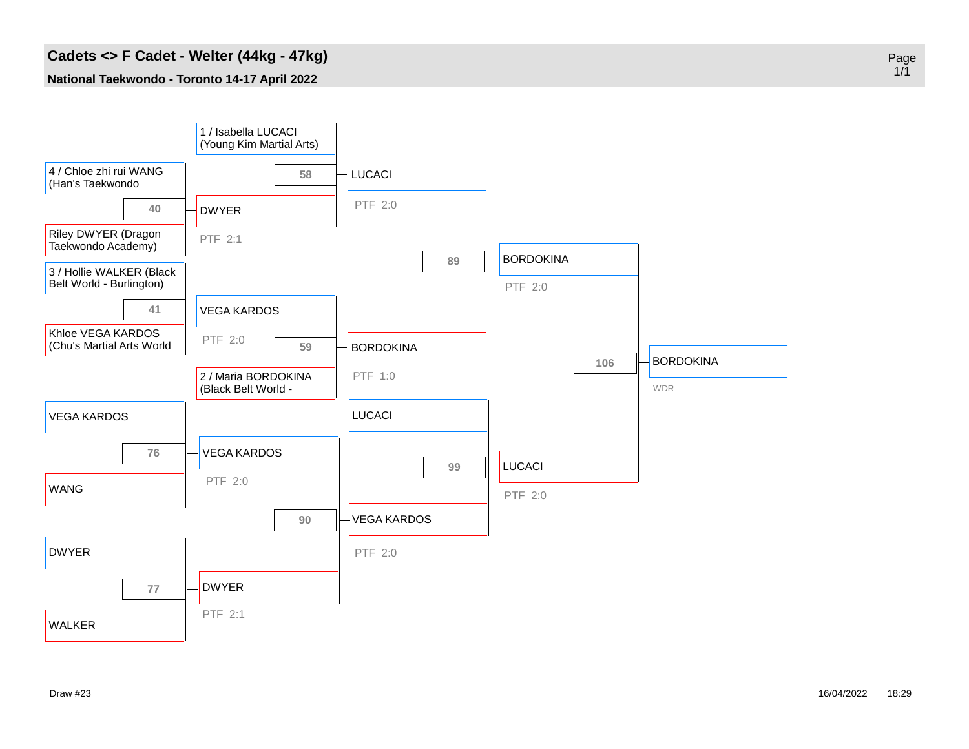#### **Cadets <> F Cadet - Welter (44kg - 47kg)**

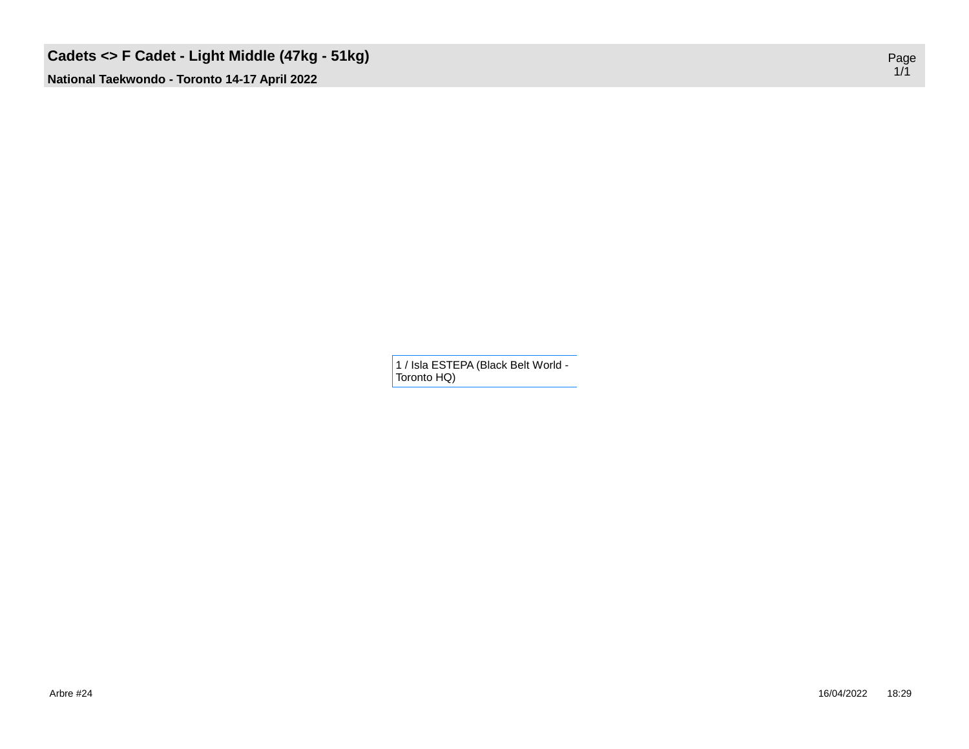## **Cadets <> F Cadet - Light Middle (47kg - 51kg)**

**National Taekwondo - Toronto 14-17 April 2022**

1 / Isla ESTEPA (Black Belt World - Toronto HQ)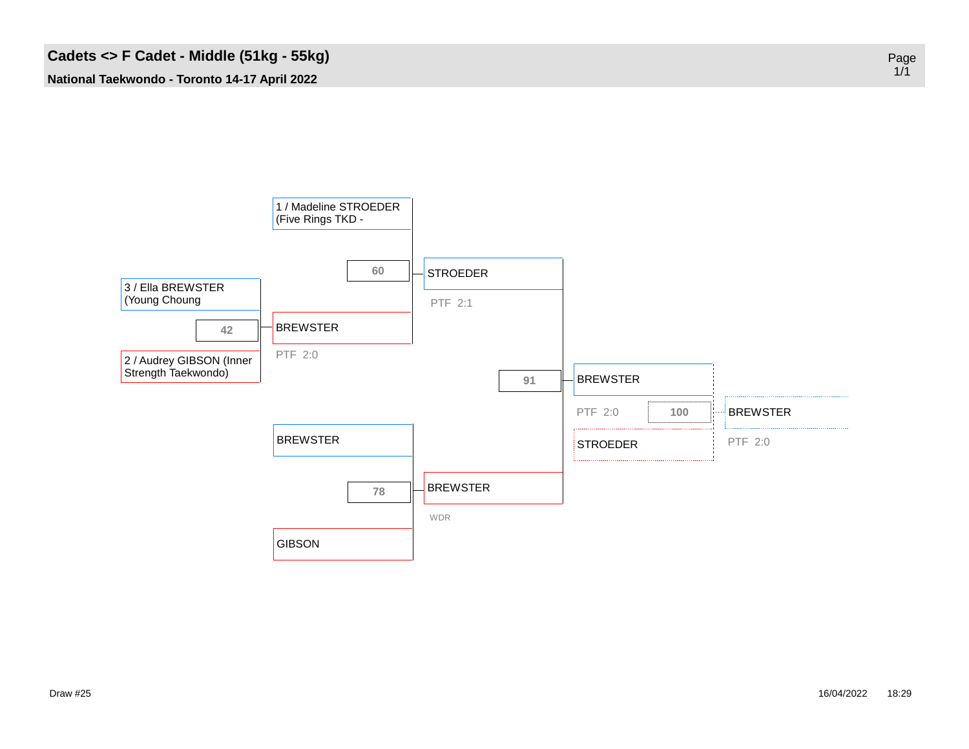